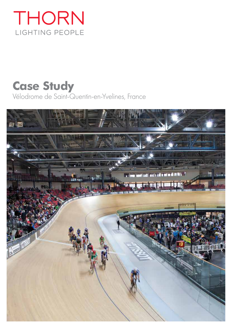# THORN LIGHTING PEOPLE

## **Case Study** Vélodrome de Saint-Quentin-en-Yvelines, France